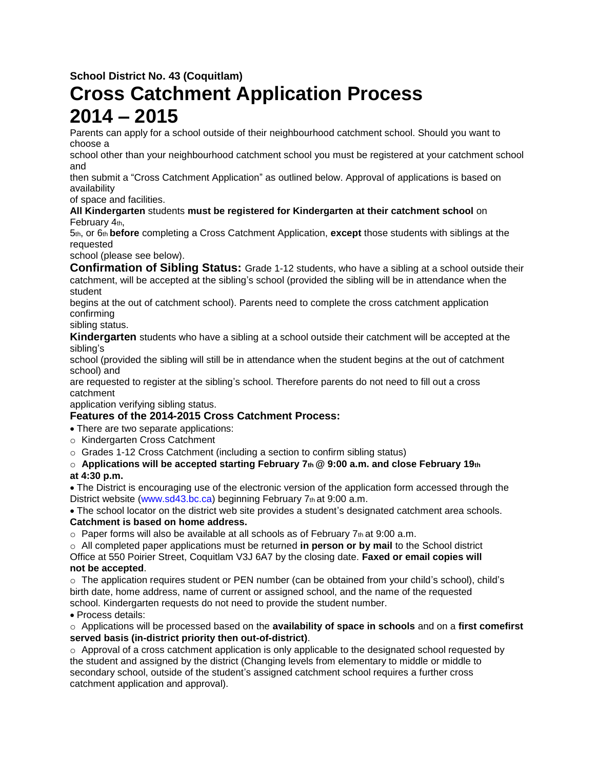**School District No. 43 (Coquitlam)**

# **Cross Catchment Application Process 2014 – 2015**

Parents can apply for a school outside of their neighbourhood catchment school. Should you want to choose a

school other than your neighbourhood catchment school you must be registered at your catchment school and

then submit a "Cross Catchment Application" as outlined below. Approval of applications is based on availability

of space and facilities.

#### **All Kindergarten** students **must be registered for Kindergarten at their catchment school** on February 4th,

5th, or 6th **before** completing a Cross Catchment Application, **except** those students with siblings at the requested

school (please see below).

**Confirmation of Sibling Status:** Grade 1-12 students, who have a sibling at a school outside their catchment, will be accepted at the sibling's school (provided the sibling will be in attendance when the student

begins at the out of catchment school). Parents need to complete the cross catchment application confirming

sibling status.

**Kindergarten** students who have a sibling at a school outside their catchment will be accepted at the sibling's

school (provided the sibling will still be in attendance when the student begins at the out of catchment school) and

are requested to register at the sibling's school. Therefore parents do not need to fill out a cross catchment

application verifying sibling status.

## **Features of the 2014-2015 Cross Catchment Process:**

- There are two separate applications:
- o Kindergarten Cross Catchment
- o Grades 1-12 Cross Catchment (including a section to confirm sibling status)

## o **Applications will be accepted starting February 7th @ 9:00 a.m. and close February 19th at 4:30 p.m.**

The District is encouraging use of the electronic version of the application form accessed through the District website (www.sd43.bc.ca) beginning February 7th at 9:00 a.m.

The school locator on the district web site provides a student's designated catchment area schools. **Catchment is based on home address.**

 $\circ$  Paper forms will also be available at all schools as of February 7th at 9:00 a.m.

o All completed paper applications must be returned **in person or by mail** to the School district Office at 550 Poirier Street, Coquitlam V3J 6A7 by the closing date. **Faxed or email copies will not be accepted**.

o The application requires student or PEN number (can be obtained from your child's school), child's birth date, home address, name of current or assigned school, and the name of the requested school. Kindergarten requests do not need to provide the student number.

Process details:

o Applications will be processed based on the **availability of space in schools** and on a **first comefirst served basis (in-district priority then out-of-district)**.

 $\circ$  Approval of a cross catchment application is only applicable to the designated school requested by the student and assigned by the district (Changing levels from elementary to middle or middle to secondary school, outside of the student's assigned catchment school requires a further cross catchment application and approval).